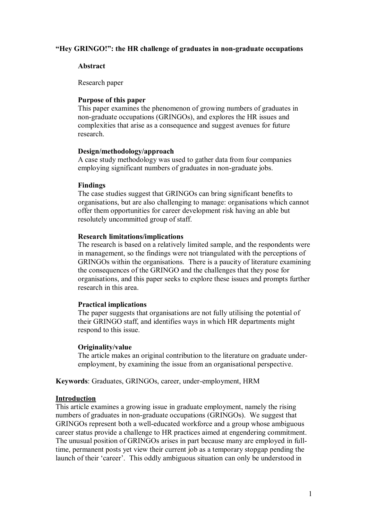# **"Hey GRINGO!": the HR challenge of graduates in non-graduate occupations**

# **Abstract**

Research paper

## **Purpose of this paper**

This paper examines the phenomenon of growing numbers of graduates in non-graduate occupations (GRINGOs), and explores the HR issues and complexities that arise as a consequence and suggest avenues for future research.

#### **Design/methodology/approach**

A case study methodology was used to gather data from four companies employing significant numbers of graduates in non-graduate jobs.

#### **Findings**

The case studies suggest that GRINGOs can bring significant benefits to organisations, but are also challenging to manage: organisations which cannot offer them opportunities for career development risk having an able but resolutely uncommitted group of staff.

#### **Research limitations/implications**

The research is based on a relatively limited sample, and the respondents were in management, so the findings were not triangulated with the perceptions of GRINGOs within the organisations. There is a paucity of literature examining the consequences of the GRINGO and the challenges that they pose for organisations, and this paper seeks to explore these issues and prompts further research in this area.

#### **Practical implications**

The paper suggests that organisations are not fully utilising the potential of their GRINGO staff, and identifies ways in which HR departments might respond to this issue.

## **Originality/value**

The article makes an original contribution to the literature on graduate underemployment, by examining the issue from an organisational perspective.

**Keywords**: Graduates, GRINGOs, career, under-employment, HRM

## **Introduction**

This article examines a growing issue in graduate employment, namely the rising numbers of graduates in non-graduate occupations (GRINGOs). We suggest that GRINGOs represent both a well-educated workforce and a group whose ambiguous career status provide a challenge to HR practices aimed at engendering commitment. The unusual position of GRINGOs arises in part because many are employed in fulltime, permanent posts yet view their current job as a temporary stopgap pending the launch of their "career". This oddly ambiguous situation can only be understood in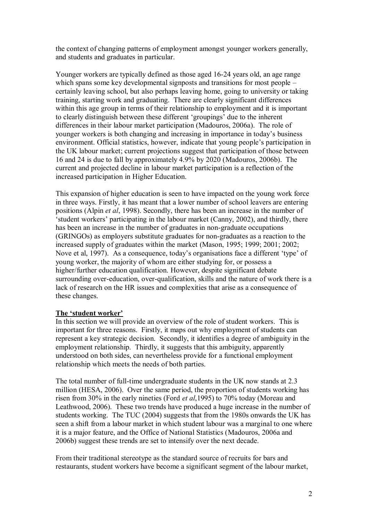the context of changing patterns of employment amongst younger workers generally, and students and graduates in particular.

Younger workers are typically defined as those aged 16-24 years old, an age range which spans some key developmental signposts and transitions for most people – certainly leaving school, but also perhaps leaving home, going to university or taking training, starting work and graduating. There are clearly significant differences within this age group in terms of their relationship to employment and it is important to clearly distinguish between these different "groupings" due to the inherent differences in their labour market participation (Madouros, 2006a). The role of younger workers is both changing and increasing in importance in today"s business environment. Official statistics, however, indicate that young people"s participation in the UK labour market; current projections suggest that participation of those between 16 and 24 is due to fall by approximately 4.9% by 2020 (Madouros, 2006b). The current and projected decline in labour market participation is a reflection of the increased participation in Higher Education.

This expansion of higher education is seen to have impacted on the young work force in three ways. Firstly, it has meant that a lower number of school leavers are entering positions (Alpin *et al*, 1998). Secondly, there has been an increase in the number of "student workers" participating in the labour market (Canny, 2002), and thirdly, there has been an increase in the number of graduates in non-graduate occupations (GRINGOs) as employers substitute graduates for non-graduates as a reaction to the increased supply of graduates within the market (Mason, 1995; 1999; 2001; 2002; Nove et al, 1997). As a consequence, today"s organisations face a different "type" of young worker, the majority of whom are either studying for, or possess a higher/further education qualification. However, despite significant debate surrounding over-education, over-qualification, skills and the nature of work there is a lack of research on the HR issues and complexities that arise as a consequence of these changes.

# **The "student worker"**

In this section we will provide an overview of the role of student workers. This is important for three reasons. Firstly, it maps out why employment of students can represent a key strategic decision. Secondly, it identifies a degree of ambiguity in the employment relationship. Thirdly, it suggests that this ambiguity, apparently understood on both sides, can nevertheless provide for a functional employment relationship which meets the needs of both parties.

The total number of full-time undergraduate students in the UK now stands at 2.3 million (HESA, 2006). Over the same period, the proportion of students working has risen from 30% in the early nineties (Ford *et al*,1995) to 70% today (Moreau and Leathwood, 2006). These two trends have produced a huge increase in the number of students working. The TUC (2004) suggests that from the 1980s onwards the UK has seen a shift from a labour market in which student labour was a marginal to one where it is a major feature, and the Office of National Statistics (Madouros, 2006a and 2006b) suggest these trends are set to intensify over the next decade.

From their traditional stereotype as the standard source of recruits for bars and restaurants, student workers have become a significant segment of the labour market,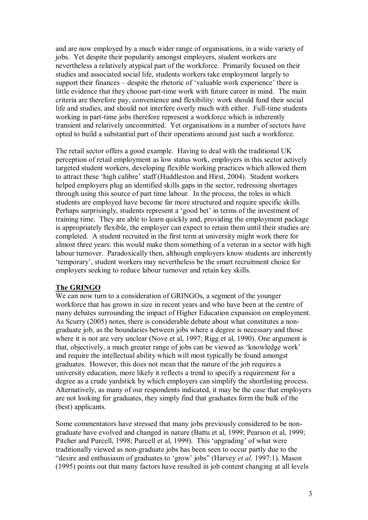and are now employed by a much wider range of organisations, in a wide variety of jobs. Yet despite their popularity amongst employers, student workers are nevertheless a relatively atypical part of the workforce. Primarily focused on their studies and associated social life, students workers take employment largely to support their finances – despite the rhetoric of 'valuable work experience' there is little evidence that they choose part-time work with future career in mind. The main criteria are therefore pay, convenience and flexibility: work should fund their social life and studies, and should not interfere overly much with either. Full-time students working in part-time jobs therefore represent a workforce which is inherently transient and relatively uncommitted. Yet organisations in a number of sectors have opted to build a substantial part of their operations around just such a workforce.

The retail sector offers a good example. Having to deal with the traditional UK perception of retail employment as low status work, employers in this sector actively targeted student workers, developing flexible working practices which allowed them to attract these "high calibre" staff (Huddleston and Hirst, 2004). Student workers helped employers plug an identified skills gaps in the sector, redressing shortages through using this source of part time labour. In the process, the roles in which students are employed have become far more structured and require specific skills. Perhaps surprisingly, students represent a 'good bet' in terms of the investment of training time. They are able to learn quickly and, providing the employment package is appropriately flexible, the employer can expect to retain them until their studies are completed. A student recruited in the first term at university might work there for almost three years: this would make them something of a veteran in a sector with high labour turnover. Paradoxically then, although employers know students are inherently "temporary", student workers may nevertheless be the smart recruitment choice for employers seeking to reduce labour turnover and retain key skills.

## **The GRINGO**

We can now turn to a consideration of GRINGOs, a segment of the younger workforce that has grown in size in recent years and who have been at the centre of many debates surrounding the impact of Higher Education expansion on employment. As Scurry (2005) notes, there is considerable debate about what constitutes a nongraduate job, as the boundaries between jobs where a degree is necessary and those where it is not are very unclear (Nove et al, 1997; Rigg et al, 1990). One argument is that, objectively, a much greater range of jobs can be viewed as "knowledge work" and require the intellectual ability which will most typically be found amongst graduates. However, this does not mean that the nature of the job requires a university education, more likely it reflects a trend to specify a requirement for a degree as a crude yardstick by which employers can simplify the shortlisting process. Alternatively, as many of our respondents indicated, it may be the case that employers are not looking for graduates, they simply find that graduates form the bulk of the (best) applicants.

Some commentators have stressed that many jobs previously considered to be nongraduate have evolved and changed in nature (Battu et al, 1999; Pearson et al, 1999; Pitcher and Purcell, 1998; Purcell et al, 1999). This 'upgrading' of what were traditionally viewed as non-graduate jobs has been seen to occur partly due to the "desire and enthusiasm of graduates to "grow" jobs" (Harvey *et al,* 1997:1). Mason (1995) points out that many factors have resulted in job content changing at all levels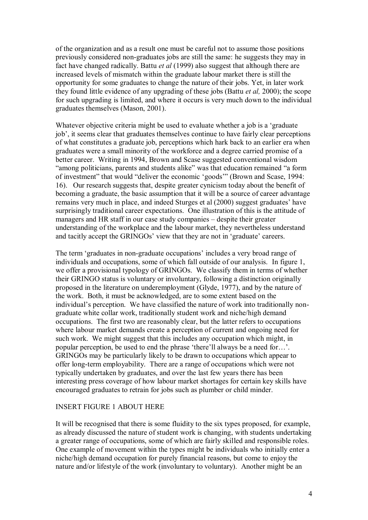of the organization and as a result one must be careful not to assume those positions previously considered non-graduates jobs are still the same: he suggests they may in fact have changed radically. Battu *et al* (1999) also suggest that although there are increased levels of mismatch within the graduate labour market there is still the opportunity for some graduates to change the nature of their jobs. Yet, in later work they found little evidence of any upgrading of these jobs (Battu *et al,* 2000); the scope for such upgrading is limited, and where it occurs is very much down to the individual graduates themselves (Mason, 2001).

Whatever objective criteria might be used to evaluate whether a job is a "graduate job", it seems clear that graduates themselves continue to have fairly clear perceptions of what constitutes a graduate job, perceptions which hark back to an earlier era when graduates were a small minority of the workforce and a degree carried promise of a better career. Writing in 1994, Brown and Scase suggested conventional wisdom "among politicians, parents and students alike" was that education remained "a form of investment" that would "deliver the economic "goods"" (Brown and Scase, 1994: 16). Our research suggests that, despite greater cynicism today about the benefit of becoming a graduate, the basic assumption that it will be a source of career advantage remains very much in place, and indeed Sturges et al (2000) suggest graduates" have surprisingly traditional career expectations. One illustration of this is the attitude of managers and HR staff in our case study companies – despite their greater understanding of the workplace and the labour market, they nevertheless understand and tacitly accept the GRINGOs' view that they are not in 'graduate' careers.

The term "graduates in non-graduate occupations" includes a very broad range of individuals and occupations, some of which fall outside of our analysis. In figure 1, we offer a provisional typology of GRINGOs. We classify them in terms of whether their GRINGO status is voluntary or involuntary, following a distinction originally proposed in the literature on underemployment (Glyde, 1977), and by the nature of the work. Both, it must be acknowledged, are to some extent based on the individual"s perception. We have classified the nature of work into traditionally nongraduate white collar work, traditionally student work and niche/high demand occupations. The first two are reasonably clear, but the latter refers to occupations where labour market demands create a perception of current and ongoing need for such work. We might suggest that this includes any occupation which might, in popular perception, be used to end the phrase "there"ll always be a need for…". GRINGOs may be particularly likely to be drawn to occupations which appear to offer long-term employability. There are a range of occupations which were not typically undertaken by graduates, and over the last few years there has been interesting press coverage of how labour market shortages for certain key skills have encouraged graduates to retrain for jobs such as plumber or child minder.

## INSERT FIGURE 1 ABOUT HERE

It will be recognised that there is some fluidity to the six types proposed, for example, as already discussed the nature of student work is changing, with students undertaking a greater range of occupations, some of which are fairly skilled and responsible roles. One example of movement within the types might be individuals who initially enter a niche/high demand occupation for purely financial reasons, but come to enjoy the nature and/or lifestyle of the work (involuntary to voluntary). Another might be an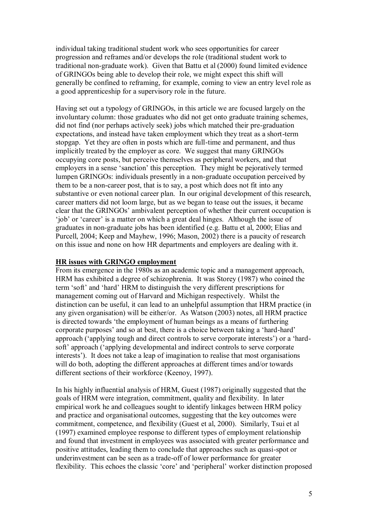individual taking traditional student work who sees opportunities for career progression and reframes and/or develops the role (traditional student work to traditional non-graduate work). Given that Battu et al (2000) found limited evidence of GRINGOs being able to develop their role, we might expect this shift will generally be confined to reframing, for example, coming to view an entry level role as a good apprenticeship for a supervisory role in the future.

Having set out a typology of GRINGOs, in this article we are focused largely on the involuntary column: those graduates who did not get onto graduate training schemes, did not find (nor perhaps actively seek) jobs which matched their pre-graduation expectations, and instead have taken employment which they treat as a short-term stopgap. Yet they are often in posts which are full-time and permanent, and thus implicitly treated by the employer as core. We suggest that many GRINGOs occupying core posts, but perceive themselves as peripheral workers, and that employers in a sense "sanction" this perception. They might be pejoratively termed lumpen GRINGOs: individuals presently in a non-graduate occupation perceived by them to be a non-career post, that is to say, a post which does not fit into any substantive or even notional career plan. In our original development of this research, career matters did not loom large, but as we began to tease out the issues, it became clear that the GRINGOs" ambivalent perception of whether their current occupation is 'job' or 'career' is a matter on which a great deal hinges. Although the issue of graduates in non-graduate jobs has been identified (e.g. Battu et al, 2000; Elias and Purcell, 2004; Keep and Mayhew, 1996; Mason, 2002) there is a paucity of research on this issue and none on how HR departments and employers are dealing with it.

## **HR issues with GRINGO employment**

From its emergence in the 1980s as an academic topic and a management approach, HRM has exhibited a degree of schizophrenia. It was Storey (1987) who coined the term "soft" and "hard" HRM to distinguish the very different prescriptions for management coming out of Harvard and Michigan respectively. Whilst the distinction can be useful, it can lead to an unhelpful assumption that HRM practice (in any given organisation) will be either/or. As Watson (2003) notes, all HRM practice is directed towards "the employment of human beings as a means of furthering corporate purposes" and so at best, there is a choice between taking a "hard-hard" approach ("applying tough and direct controls to serve corporate interests") or a "hardsoft' approach ('applying developmental and indirect controls to serve corporate interests"). It does not take a leap of imagination to realise that most organisations will do both, adopting the different approaches at different times and/or towards different sections of their workforce (Keenoy, 1997).

In his highly influential analysis of HRM, Guest (1987) originally suggested that the goals of HRM were integration, commitment, quality and flexibility. In later empirical work he and colleagues sought to identify linkages between HRM policy and practice and organisational outcomes, suggesting that the key outcomes were commitment, competence, and flexibility (Guest et al, 2000). Similarly, Tsui et al (1997) examined employee response to different types of employment relationship and found that investment in employees was associated with greater performance and positive attitudes, leading them to conclude that approaches such as quasi-spot or underinvestment can be seen as a trade-off of lower performance for greater flexibility. This echoes the classic "core" and "peripheral" worker distinction proposed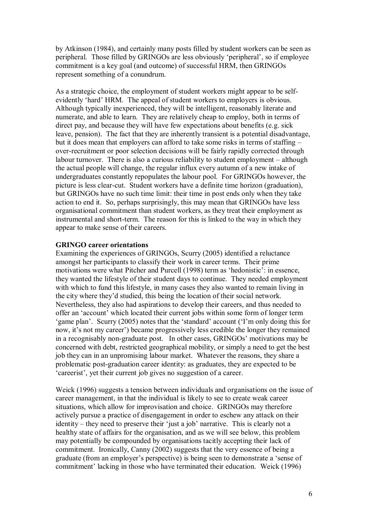by Atkinson (1984), and certainly many posts filled by student workers can be seen as peripheral. Those filled by GRINGOs are less obviously "peripheral", so if employee commitment is a key goal (and outcome) of successful HRM, then GRINGOs represent something of a conundrum.

As a strategic choice, the employment of student workers might appear to be selfevidently "hard" HRM. The appeal of student workers to employers is obvious. Although typically inexperienced, they will be intelligent, reasonably literate and numerate, and able to learn. They are relatively cheap to employ, both in terms of direct pay, and because they will have few expectations about benefits (e.g. sick leave, pension). The fact that they are inherently transient is a potential disadvantage, but it does mean that employers can afford to take some risks in terms of staffing – over-recruitment or poor selection decisions will be fairly rapidly corrected through labour turnover. There is also a curious reliability to student employment – although the actual people will change, the regular influx every autumn of a new intake of undergraduates constantly repopulates the labour pool. For GRINGOs however, the picture is less clear-cut. Student workers have a definite time horizon (graduation), but GRINGOs have no such time limit: their time in post ends only when they take action to end it. So, perhaps surprisingly, this may mean that GRINGOs have less organisational commitment than student workers, as they treat their employment as instrumental and short-term. The reason for this is linked to the way in which they appear to make sense of their careers.

## **GRINGO career orientations**

Examining the experiences of GRINGOs, Scurry (2005) identified a reluctance amongst her participants to classify their work in career terms. Their prime motivations were what Pitcher and Purcell (1998) term as "hedonistic": in essence, they wanted the lifestyle of their student days to continue. They needed employment with which to fund this lifestyle, in many cases they also wanted to remain living in the city where they"d studied, this being the location of their social network. Nevertheless, they also had aspirations to develop their careers, and thus needed to offer an "account" which located their current jobs within some form of longer term "game plan". Scurry (2005) notes that the "standard" account ('I'm only doing this for now, it's not my career') became progressively less credible the longer they remained in a recognisably non-graduate post. In other cases, GRINGOs' motivations may be concerned with debt, restricted geographical mobility, or simply a need to get the best job they can in an unpromising labour market. Whatever the reasons, they share a problematic post-graduation career identity: as graduates, they are expected to be "careerist", yet their current job gives no suggestion of a career.

Weick (1996) suggests a tension between individuals and organisations on the issue of career management, in that the individual is likely to see to create weak career situations, which allow for improvisation and choice. GRINGOs may therefore actively pursue a practice of disengagement in order to eschew any attack on their identity – they need to preserve their "just a job" narrative. This is clearly not a healthy state of affairs for the organisation, and as we will see below, this problem may potentially be compounded by organisations tacitly accepting their lack of commitment. Ironically, Canny (2002) suggests that the very essence of being a graduate (from an employer"s perspective) is being seen to demonstrate a "sense of commitment" lacking in those who have terminated their education. Weick (1996)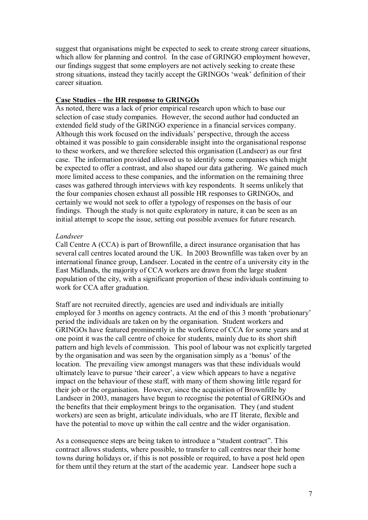suggest that organisations might be expected to seek to create strong career situations, which allow for planning and control. In the case of GRINGO employment however, our findings suggest that some employers are not actively seeking to create these strong situations, instead they tacitly accept the GRINGOs "weak" definition of their career situation.

## **Case Studies – the HR response to GRINGOs**

As noted, there was a lack of prior empirical research upon which to base our selection of case study companies. However, the second author had conducted an extended field study of the GRINGO experience in a financial services company. Although this work focused on the individuals" perspective, through the access obtained it was possible to gain considerable insight into the organisational response to these workers, and we therefore selected this organisation (Landseer) as our first case. The information provided allowed us to identify some companies which might be expected to offer a contrast, and also shaped our data gathering. We gained much more limited access to these companies, and the information on the remaining three cases was gathered through interviews with key respondents. It seems unlikely that the four companies chosen exhaust all possible HR responses to GRINGOs, and certainly we would not seek to offer a typology of responses on the basis of our findings. Though the study is not quite exploratory in nature, it can be seen as an initial attempt to scope the issue, setting out possible avenues for future research.

## *Landseer*

Call Centre A (CCA) is part of Brownfille, a direct insurance organisation that has several call centres located around the UK. In 2003 Brownfille was taken over by an international finance group, Landseer. Located in the centre of a university city in the East Midlands, the majority of CCA workers are drawn from the large student population of the city, with a significant proportion of these individuals continuing to work for CCA after graduation.

Staff are not recruited directly, agencies are used and individuals are initially employed for 3 months on agency contracts. At the end of this 3 month "probationary" period the individuals are taken on by the organisation. Student workers and GRINGOs have featured prominently in the workforce of CCA for some years and at one point it was the call centre of choice for students, mainly due to its short shift pattern and high levels of commission. This pool of labour was not explicitly targeted by the organisation and was seen by the organisation simply as a "bonus" of the location. The prevailing view amongst managers was that these individuals would ultimately leave to pursue "their career", a view which appears to have a negative impact on the behaviour of these staff, with many of them showing little regard for their job or the organisation. However, since the acquisition of Brownfille by Landseer in 2003, managers have begun to recognise the potential of GRINGOs and the benefits that their employment brings to the organisation. They (and student workers) are seen as bright, articulate individuals, who are IT literate, flexible and have the potential to move up within the call centre and the wider organisation.

As a consequence steps are being taken to introduce a "student contract". This contract allows students, where possible, to transfer to call centres near their home towns during holidays or, if this is not possible or required, to have a post held open for them until they return at the start of the academic year. Landseer hope such a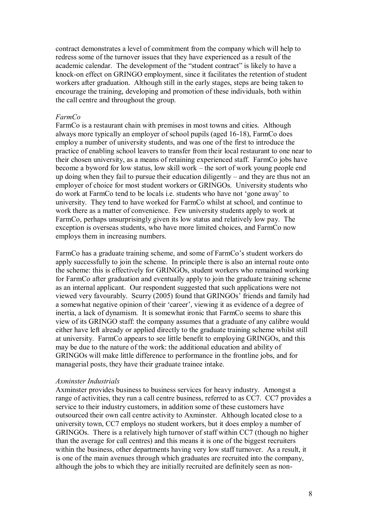contract demonstrates a level of commitment from the company which will help to redress some of the turnover issues that they have experienced as a result of the academic calendar. The development of the "student contract" is likely to have a knock-on effect on GRINGO employment, since it facilitates the retention of student workers after graduation. Although still in the early stages, steps are being taken to encourage the training, developing and promotion of these individuals, both within the call centre and throughout the group.

#### *FarmCo*

FarmCo is a restaurant chain with premises in most towns and cities. Although always more typically an employer of school pupils (aged 16-18), FarmCo does employ a number of university students, and was one of the first to introduce the practice of enabling school leavers to transfer from their local restaurant to one near to their chosen university, as a means of retaining experienced staff. FarmCo jobs have become a byword for low status, low skill work – the sort of work young people end up doing when they fail to pursue their education diligently – and they are thus not an employer of choice for most student workers or GRINGOs. University students who do work at FarmCo tend to be locals i.e. students who have not "gone away" to university. They tend to have worked for FarmCo whilst at school, and continue to work there as a matter of convenience. Few university students apply to work at FarmCo, perhaps unsurprisingly given its low status and relatively low pay. The exception is overseas students, who have more limited choices, and FarmCo now employs them in increasing numbers.

FarmCo has a graduate training scheme, and some of FarmCo's student workers do apply successfully to join the scheme. In principle there is also an internal route onto the scheme: this is effectively for GRINGOs, student workers who remained working for FarmCo after graduation and eventually apply to join the graduate training scheme as an internal applicant. Our respondent suggested that such applications were not viewed very favourably. Scurry (2005) found that GRINGOs" friends and family had a somewhat negative opinion of their "career", viewing it as evidence of a degree of inertia, a lack of dynamism. It is somewhat ironic that FarmCo seems to share this view of its GRINGO staff: the company assumes that a graduate of any calibre would either have left already or applied directly to the graduate training scheme whilst still at university. FarmCo appears to see little benefit to employing GRINGOs, and this may be due to the nature of the work: the additional education and ability of GRINGOs will make little difference to performance in the frontline jobs, and for managerial posts, they have their graduate trainee intake.

#### *Axminster Industrials*

Axminster provides business to business services for heavy industry. Amongst a range of activities, they run a call centre business, referred to as CC7. CC7 provides a service to their industry customers, in addition some of these customers have outsourced their own call centre activity to Axminster. Although located close to a university town, CC7 employs no student workers, but it does employ a number of GRINGOs. There is a relatively high turnover of staff within CC7 (though no higher than the average for call centres) and this means it is one of the biggest recruiters within the business, other departments having very low staff turnover. As a result, it is one of the main avenues through which graduates are recruited into the company, although the jobs to which they are initially recruited are definitely seen as non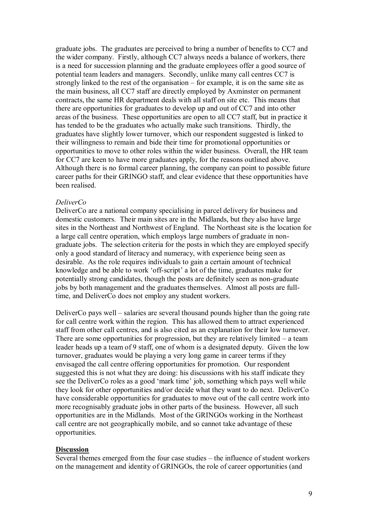graduate jobs. The graduates are perceived to bring a number of benefits to CC7 and the wider company. Firstly, although CC7 always needs a balance of workers, there is a need for succession planning and the graduate employees offer a good source of potential team leaders and managers. Secondly, unlike many call centres CC7 is strongly linked to the rest of the organisation – for example, it is on the same site as the main business, all CC7 staff are directly employed by Axminster on permanent contracts, the same HR department deals with all staff on site etc. This means that there are opportunities for graduates to develop up and out of CC7 and into other areas of the business. These opportunities are open to all CC7 staff, but in practice it has tended to be the graduates who actually make such transitions. Thirdly, the graduates have slightly lower turnover, which our respondent suggested is linked to their willingness to remain and bide their time for promotional opportunities or opportunities to move to other roles within the wider business. Overall, the HR team for CC7 are keen to have more graduates apply, for the reasons outlined above. Although there is no formal career planning, the company can point to possible future career paths for their GRINGO staff, and clear evidence that these opportunities have been realised.

## *DeliverCo*

DeliverCo are a national company specialising in parcel delivery for business and domestic customers. Their main sites are in the Midlands, but they also have large sites in the Northeast and Northwest of England. The Northeast site is the location for a large call centre operation, which employs large numbers of graduate in nongraduate jobs. The selection criteria for the posts in which they are employed specify only a good standard of literacy and numeracy, with experience being seen as desirable. As the role requires individuals to gain a certain amount of technical knowledge and be able to work "off-script" a lot of the time, graduates make for potentially strong candidates, though the posts are definitely seen as non-graduate jobs by both management and the graduates themselves. Almost all posts are fulltime, and DeliverCo does not employ any student workers.

DeliverCo pays well – salaries are several thousand pounds higher than the going rate for call centre work within the region. This has allowed them to attract experienced staff from other call centres, and is also cited as an explanation for their low turnover. There are some opportunities for progression, but they are relatively limited – a team leader heads up a team of 9 staff, one of whom is a designated deputy. Given the low turnover, graduates would be playing a very long game in career terms if they envisaged the call centre offering opportunities for promotion. Our respondent suggested this is not what they are doing: his discussions with his staff indicate they see the DeliverCo roles as a good 'mark time' job, something which pays well while they look for other opportunities and/or decide what they want to do next. DeliverCo have considerable opportunities for graduates to move out of the call centre work into more recognisably graduate jobs in other parts of the business. However, all such opportunities are in the Midlands. Most of the GRINGOs working in the Northeast call centre are not geographically mobile, and so cannot take advantage of these opportunities.

#### **Discussion**

Several themes emerged from the four case studies – the influence of student workers on the management and identity of GRINGOs, the role of career opportunities (and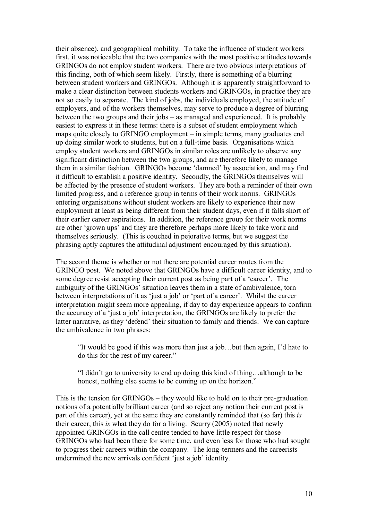their absence), and geographical mobility. To take the influence of student workers first, it was noticeable that the two companies with the most positive attitudes towards GRINGOs do not employ student workers. There are two obvious interpretations of this finding, both of which seem likely. Firstly, there is something of a blurring between student workers and GRINGOs. Although it is apparently straightforward to make a clear distinction between students workers and GRINGOs, in practice they are not so easily to separate. The kind of jobs, the individuals employed, the attitude of employers, and of the workers themselves, may serve to produce a degree of blurring between the two groups and their jobs – as managed and experienced. It is probably easiest to express it in these terms: there is a subset of student employment which maps quite closely to GRINGO employment – in simple terms, many graduates end up doing similar work to students, but on a full-time basis. Organisations which employ student workers and GRINGOs in similar roles are unlikely to observe any significant distinction between the two groups, and are therefore likely to manage them in a similar fashion. GRINGOs become "damned" by association, and may find it difficult to establish a positive identity. Secondly, the GRINGOs themselves will be affected by the presence of student workers. They are both a reminder of their own limited progress, and a reference group in terms of their work norms. GRINGOs entering organisations without student workers are likely to experience their new employment at least as being different from their student days, even if it falls short of their earlier career aspirations. In addition, the reference group for their work norms are other "grown ups" and they are therefore perhaps more likely to take work and themselves seriously. (This is couched in pejorative terms, but we suggest the phrasing aptly captures the attitudinal adjustment encouraged by this situation).

The second theme is whether or not there are potential career routes from the GRINGO post. We noted above that GRINGOs have a difficult career identity, and to some degree resist accepting their current post as being part of a "career". The ambiguity of the GRINGOs" situation leaves them in a state of ambivalence, torn between interpretations of it as 'just a job' or 'part of a career'. Whilst the career interpretation might seem more appealing, if day to day experience appears to confirm the accuracy of a "just a job" interpretation, the GRINGOs are likely to prefer the latter narrative, as they "defend" their situation to family and friends. We can capture the ambivalence in two phrases:

"It would be good if this was more than just a job…but then again, I"d hate to do this for the rest of my career."

"I didn"t go to university to end up doing this kind of thing…although to be honest, nothing else seems to be coming up on the horizon."

This is the tension for GRINGOs – they would like to hold on to their pre-graduation notions of a potentially brilliant career (and so reject any notion their current post is part of this career), yet at the same they are constantly reminded that (so far) this *is* their career, this *is* what they do for a living. Scurry (2005) noted that newly appointed GRINGOs in the call centre tended to have little respect for those GRINGOs who had been there for some time, and even less for those who had sought to progress their careers within the company. The long-termers and the careerists undermined the new arrivals confident "just a job" identity.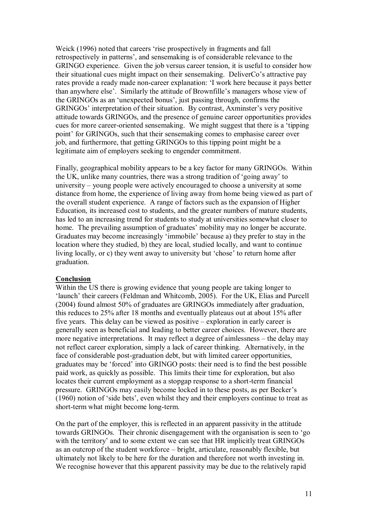Weick (1996) noted that careers "rise prospectively in fragments and fall retrospectively in patterns", and sensemaking is of considerable relevance to the GRINGO experience. Given the job versus career tension, it is useful to consider how their situational cues might impact on their sensemaking. DeliverCo"s attractive pay rates provide a ready made non-career explanation: "I work here because it pays better than anywhere else". Similarly the attitude of Brownfille"s managers whose view of the GRINGOs as an "unexpected bonus", just passing through, confirms the GRINGOs' interpretation of their situation. By contrast, Axminster's very positive attitude towards GRINGOs, and the presence of genuine career opportunities provides cues for more career-oriented sensemaking. We might suggest that there is a "tipping point" for GRINGOs, such that their sensemaking comes to emphasise career over job, and furthermore, that getting GRINGOs to this tipping point might be a legitimate aim of employers seeking to engender commitment.

Finally, geographical mobility appears to be a key factor for many GRINGOs. Within the UK, unlike many countries, there was a strong tradition of "going away" to university – young people were actively encouraged to choose a university at some distance from home, the experience of living away from home being viewed as part of the overall student experience. A range of factors such as the expansion of Higher Education, its increased cost to students, and the greater numbers of mature students, has led to an increasing trend for students to study at universities somewhat closer to home. The prevailing assumption of graduates' mobility may no longer be accurate. Graduates may become increasingly "immobile" because a) they prefer to stay in the location where they studied, b) they are local, studied locally, and want to continue living locally, or c) they went away to university but "chose" to return home after graduation.

## **Conclusion**

Within the US there is growing evidence that young people are taking longer to 'launch' their careers (Feldman and Whitcomb, 2005). For the UK, Elias and Purcell (2004) found almost 50% of graduates are GRINGOs immediately after graduation, this reduces to 25% after 18 months and eventually plateaus out at about 15% after five years. This delay can be viewed as positive – exploration in early career is generally seen as beneficial and leading to better career choices. However, there are more negative interpretations. It may reflect a degree of aimlessness – the delay may not reflect career exploration, simply a lack of career thinking. Alternatively, in the face of considerable post-graduation debt, but with limited career opportunities, graduates may be "forced" into GRINGO posts: their need is to find the best possible paid work, as quickly as possible. This limits their time for exploration, but also locates their current employment as a stopgap response to a short-term financial pressure. GRINGOs may easily become locked in to these posts, as per Becker"s (1960) notion of "side bets", even whilst they and their employers continue to treat as short-term what might become long-term.

On the part of the employer, this is reflected in an apparent passivity in the attitude towards GRINGOs. Their chronic disengagement with the organisation is seen to "go with the territory' and to some extent we can see that HR implicitly treat GRINGOs as an outcrop of the student workforce – bright, articulate, reasonably flexible, but ultimately not likely to be here for the duration and therefore not worth investing in. We recognise however that this apparent passivity may be due to the relatively rapid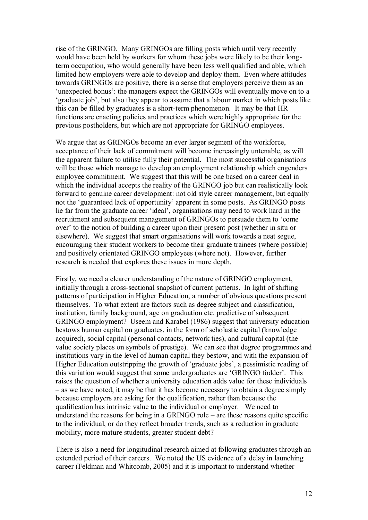rise of the GRINGO. Many GRINGOs are filling posts which until very recently would have been held by workers for whom these jobs were likely to be their longterm occupation, who would generally have been less well qualified and able, which limited how employers were able to develop and deploy them. Even where attitudes towards GRINGOs are positive, there is a sense that employers perceive them as an "unexpected bonus": the managers expect the GRINGOs will eventually move on to a "graduate job", but also they appear to assume that a labour market in which posts like this can be filled by graduates is a short-term phenomenon. It may be that HR functions are enacting policies and practices which were highly appropriate for the previous postholders, but which are not appropriate for GRINGO employees.

We argue that as GRINGOs become an ever larger segment of the workforce, acceptance of their lack of commitment will become increasingly untenable, as will the apparent failure to utilise fully their potential. The most successful organisations will be those which manage to develop an employment relationship which engenders employee commitment. We suggest that this will be one based on a career deal in which the individual accepts the reality of the GRINGO job but can realistically look forward to genuine career development: not old style career management, but equally not the "guaranteed lack of opportunity" apparent in some posts. As GRINGO posts lie far from the graduate career "ideal", organisations may need to work hard in the recruitment and subsequent management of GRINGOs to persuade them to "come over" to the notion of building a career upon their present post (whether in situ or elsewhere). We suggest that smart organisations will work towards a neat segue, encouraging their student workers to become their graduate trainees (where possible) and positively orientated GRINGO employees (where not). However, further research is needed that explores these issues in more depth.

Firstly, we need a clearer understanding of the nature of GRINGO employment, initially through a cross-sectional snapshot of current patterns. In light of shifting patterns of participation in Higher Education, a number of obvious questions present themselves. To what extent are factors such as degree subject and classification, institution, family background, age on graduation etc. predictive of subsequent GRINGO employment? Useem and Karabel (1986) suggest that university education bestows human capital on graduates, in the form of scholastic capital (knowledge acquired), social capital (personal contacts, network ties), and cultural capital (the value society places on symbols of prestige). We can see that degree programmes and institutions vary in the level of human capital they bestow, and with the expansion of Higher Education outstripping the growth of 'graduate jobs', a pessimistic reading of this variation would suggest that some undergraduates are "GRINGO fodder". This raises the question of whether a university education adds value for these individuals – as we have noted, it may be that it has become necessary to obtain a degree simply because employers are asking for the qualification, rather than because the qualification has intrinsic value to the individual or employer. We need to understand the reasons for being in a GRINGO role – are these reasons quite specific to the individual, or do they reflect broader trends, such as a reduction in graduate mobility, more mature students, greater student debt?

There is also a need for longitudinal research aimed at following graduates through an extended period of their careers. We noted the US evidence of a delay in launching career (Feldman and Whitcomb, 2005) and it is important to understand whether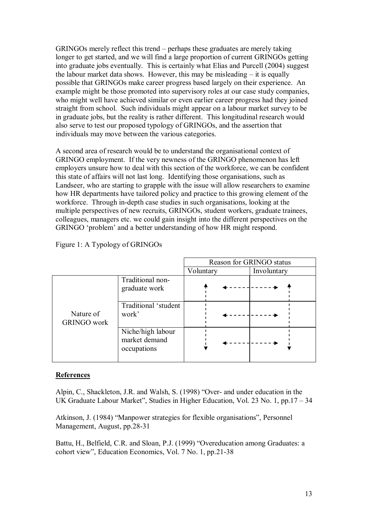GRINGOs merely reflect this trend – perhaps these graduates are merely taking longer to get started, and we will find a large proportion of current GRINGOs getting into graduate jobs eventually. This is certainly what Elias and Purcell (2004) suggest the labour market data shows. However, this may be misleading – it is equally possible that GRINGOs make career progress based largely on their experience. An example might be those promoted into supervisory roles at our case study companies, who might well have achieved similar or even earlier career progress had they joined straight from school. Such individuals might appear on a labour market survey to be in graduate jobs, but the reality is rather different. This longitudinal research would also serve to test our proposed typology of GRINGOs, and the assertion that individuals may move between the various categories.

A second area of research would be to understand the organisational context of GRINGO employment. If the very newness of the GRINGO phenomenon has left employers unsure how to deal with this section of the workforce, we can be confident this state of affairs will not last long. Identifying those organisations, such as Landseer, who are starting to grapple with the issue will allow researchers to examine how HR departments have tailored policy and practice to this growing element of the workforce. Through in-depth case studies in such organisations, looking at the multiple perspectives of new recruits, GRINGOs, student workers, graduate trainees, colleagues, managers etc. we could gain insight into the different perspectives on the GRINGO "problem" and a better understanding of how HR might respond.

|                                 |                                                   | Reason for GRINGO status |             |
|---------------------------------|---------------------------------------------------|--------------------------|-------------|
|                                 |                                                   | Voluntary                | Involuntary |
| Nature of<br><b>GRINGO</b> work | Traditional non-<br>graduate work                 |                          |             |
|                                 | Traditional 'student<br>work'                     |                          |             |
|                                 | Niche/high labour<br>market demand<br>occupations |                          |             |

Figure 1: A Typology of GRINGOs

## **References**

Alpin, C., Shackleton, J.R. and Walsh, S. (1998) "Over- and under education in the UK Graduate Labour Market", Studies in Higher Education, Vol. 23 No. 1, pp.17 – 34

Atkinson, J. (1984) "Manpower strategies for flexible organisations", Personnel Management, August, pp.28-31

Battu, H., Belfield, C.R. and Sloan, P.J. (1999) "Overeducation among Graduates: a cohort view", Education Economics, Vol. 7 No. 1, pp.21-38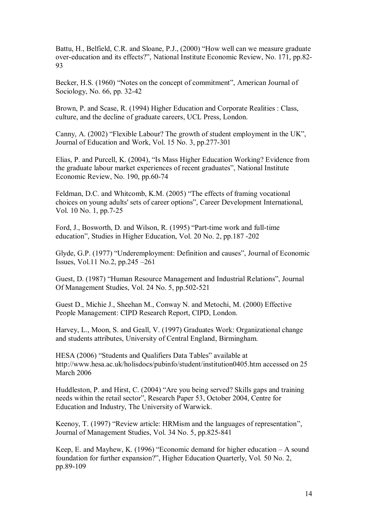Battu, H., Belfield, C.R. and Sloane, P.J., (2000) "How well can we measure graduate over-education and its effects?", National Institute Economic Review, No. 171, pp.82- 93

Becker, H.S. (1960) "Notes on the concept of commitment", American Journal of Sociology, No. 66, pp. 32-42

Brown, P. and Scase, R. (1994) [Higher Education and Corporate Realities : Class,](http://www.worldcatlibraries.org/wcpa/servlet/OUFrame;jsessionid=132059E718E79409A0434EC9081592C5.two?url=http%3A%2F%2Fscholar.google.com%2Fscholar%3Fhl%3Den%26lr%3D%26q%3D%252522higher%2Beducation%2B*%2Bcorporate%252522%2Bsite%253Aworldcatlibraries.org&title=title+search+&linktype=title&detail=goog_scholar%3Ahigher+education+*+corporate%3Anoframes)  [culture, and the decline of graduate careers,](http://www.worldcatlibraries.org/wcpa/servlet/OUFrame;jsessionid=132059E718E79409A0434EC9081592C5.two?url=http%3A%2F%2Fscholar.google.com%2Fscholar%3Fhl%3Den%26lr%3D%26q%3D%252522higher%2Beducation%2B*%2Bcorporate%252522%2Bsite%253Aworldcatlibraries.org&title=title+search+&linktype=title&detail=goog_scholar%3Ahigher+education+*+corporate%3Anoframes) UCL Press, London.

Canny, A. (2002) "Flexible Labour? The growth of student employment in the UK", Journal of Education and Work, Vol. 15 No. 3, pp.277-301

Elias, P. and Purcell, K. (2004), "Is Mass Higher Education Working? Evidence from the graduate labour market experiences of recent graduates", National Institute Economic Review, No. 190, pp.60-74

Feldman, D.C. and Whitcomb, K.M. (2005) "The effects of framing vocational choices on young adults' sets of career options", Career Development International, Vol. 10 No. 1, pp.7-25

Ford, J., Bosworth, D. and Wilson, R. (1995) "Part-time work and full-time education", Studies in Higher Education, Vol. 20 No. 2, pp.187 -202

Glyde, G.P. (1977) "Underemployment: Definition and causes", Journal of Economic Issues, Vol.11 No.2, pp.245 –261

Guest, D. (1987) "Human Resource Management and Industrial Relations", Journal Of Management Studies, Vol. 24 No. 5, pp.502-521

Guest D., Michie J., Sheehan M., Conway N. and Metochi, M. (2000) Effective People Management: CIPD Research Report, CIPD, London.

Harvey, L., Moon, S. and Geall, V. (1997) Graduates Work: Organizational change and students attributes, University of Central England, Birmingham.

HESA (2006) "Students and Qualifiers Data Tables" available at <http://www.hesa.ac.uk/holisdocs/pubinfo/student/institution0405.htm> accessed on 25 March 2006

Huddleston, P. and Hirst, C. (2004) "Are you being served? Skills gaps and training needs within the retail sector", Research Paper 53, October 2004, Centre for Education and Industry, The University of Warwick.

Keenoy, T. (1997) "Review article: HRMism and the languages of representation", Journal of Management Studies, Vol. 34 No. 5, pp.825-841

Keep, E. and Mayhew, K. (1996) "Economic demand for higher education – A sound foundation for further expansion?", Higher Education Quarterly, Vol. 50 No. 2, pp.89-109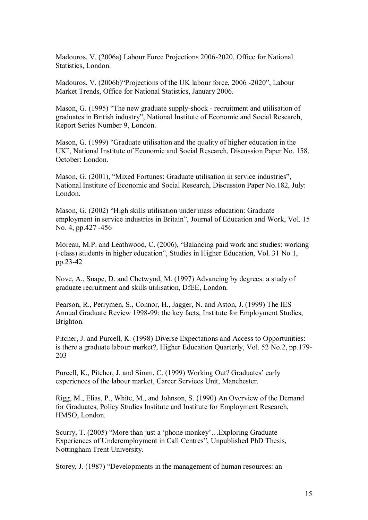Madouros, V. (2006a) Labour Force Projections 2006-2020, Office for National Statistics, London.

Madouros, V. (2006b)"Projections of the UK labour force, 2006 -2020", Labour Market Trends, Office for National Statistics, January 2006.

Mason, G. (1995) "The new graduate supply-shock - recruitment and utilisation of graduates in British industry", National Institute of Economic and Social Research, Report Series Number 9, London.

Mason, G. (1999) "Graduate utilisation and the quality of higher education in the UK", National Institute of Economic and Social Research, Discussion Paper No. 158, October: London.

Mason, G. (2001), "Mixed Fortunes: Graduate utilisation in service industries", National Institute of Economic and Social Research, Discussion Paper No.182, July: London.

Mason, G. (2002) "High skills utilisation under mass education: Graduate employment in service industries in Britain", Journal of Education and Work, Vol. 15 No. 4, pp.427 -456

Moreau, M.P. and Leathwood, C. (2006), "Balancing paid work and studies: working (-class) students in higher education", Studies in Higher Education, Vol. 31 No 1, pp.23-42

Nove, A., Snape, D. and Chetwynd, M. (1997) Advancing by degrees: a study of graduate recruitment and skills utilisation, DfEE, London.

Pearson, R., Perrymen, S., Connor, H., Jagger, N. and Aston, J. (1999) The IES Annual Graduate Review 1998-99: the key facts, Institute for Employment Studies, Brighton.

Pitcher, J. and Purcell, K. (1998) Diverse Expectations and Access to Opportunities: is there a graduate labour market?, Higher Education Quarterly, Vol. 52 No.2, pp.179- 203

Purcell, K., Pitcher, J. and Simm, C. (1999) Working Out? Graduates' early experiences of the labour market, Career Services Unit, Manchester.

Rigg, M., Elias, P., White, M., and Johnson, S. (1990) An Overview of the Demand for Graduates, Policy Studies Institute and Institute for Employment Research, HMSO, London.

Scurry, T. (2005) "More than just a 'phone monkey'... Exploring Graduate Experiences of Underemployment in Call Centres", Unpublished PhD Thesis, Nottingham Trent University.

Storey, J. (1987) "Developments in the management of human resources: an